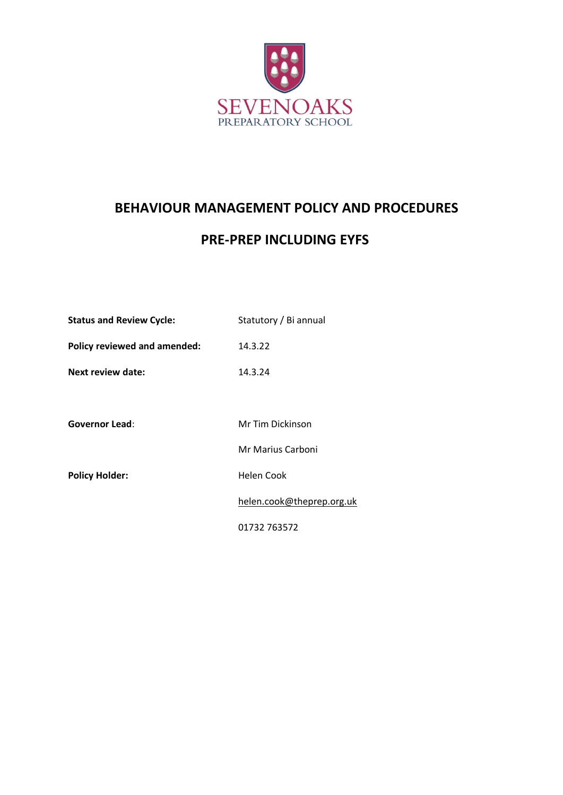

# **BEHAVIOUR MANAGEMENT POLICY AND PROCEDURES**

# **PRE-PREP INCLUDING EYFS**

| <b>Status and Review Cycle:</b> | Statutory / Bi annual     |
|---------------------------------|---------------------------|
| Policy reviewed and amended:    | 14.3.22                   |
| Next review date:               | 14.3.24                   |
|                                 |                           |
| <b>Governor Lead:</b>           | Mr Tim Dickinson          |
|                                 | Mr Marius Carboni         |
| <b>Policy Holder:</b>           | <b>Helen Cook</b>         |
|                                 | helen.cook@theprep.org.uk |
|                                 | 01732 763572              |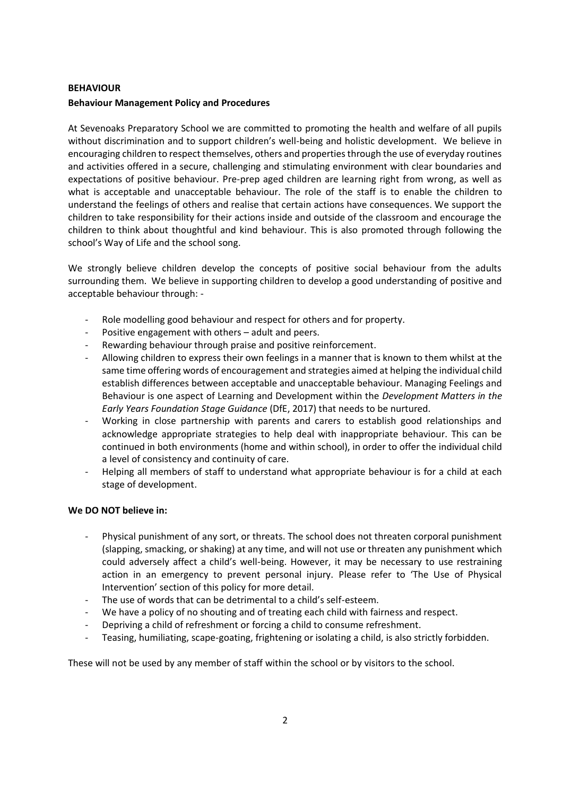#### **BEHAVIOUR**

#### **Behaviour Management Policy and Procedures**

At Sevenoaks Preparatory School we are committed to promoting the health and welfare of all pupils without discrimination and to support children's well-being and holistic development. We believe in encouraging children to respect themselves, others and properties through the use of everyday routines and activities offered in a secure, challenging and stimulating environment with clear boundaries and expectations of positive behaviour. Pre-prep aged children are learning right from wrong, as well as what is acceptable and unacceptable behaviour. The role of the staff is to enable the children to understand the feelings of others and realise that certain actions have consequences. We support the children to take responsibility for their actions inside and outside of the classroom and encourage the children to think about thoughtful and kind behaviour. This is also promoted through following the school's Way of Life and the school song.

We strongly believe children develop the concepts of positive social behaviour from the adults surrounding them. We believe in supporting children to develop a good understanding of positive and acceptable behaviour through: -

- Role modelling good behaviour and respect for others and for property.
- Positive engagement with others adult and peers.
- Rewarding behaviour through praise and positive reinforcement.
- Allowing children to express their own feelings in a manner that is known to them whilst at the same time offering words of encouragement and strategies aimed at helping the individual child establish differences between acceptable and unacceptable behaviour. Managing Feelings and Behaviour is one aspect of Learning and Development within the *Development Matters in the Early Years Foundation Stage Guidance* (DfE, 2017) that needs to be nurtured.
- Working in close partnership with parents and carers to establish good relationships and acknowledge appropriate strategies to help deal with inappropriate behaviour. This can be continued in both environments (home and within school), in order to offer the individual child a level of consistency and continuity of care.
- Helping all members of staff to understand what appropriate behaviour is for a child at each stage of development.

# **We DO NOT believe in:**

- Physical punishment of any sort, or threats. The school does not threaten corporal punishment (slapping, smacking, or shaking) at any time, and will not use or threaten any punishment which could adversely affect a child's well-being. However, it may be necessary to use restraining action in an emergency to prevent personal injury. Please refer to 'The Use of Physical Intervention' section of this policy for more detail.
- The use of words that can be detrimental to a child's self-esteem.
- We have a policy of no shouting and of treating each child with fairness and respect.
- Depriving a child of refreshment or forcing a child to consume refreshment.
- Teasing, humiliating, scape-goating, frightening or isolating a child, is also strictly forbidden.

These will not be used by any member of staff within the school or by visitors to the school.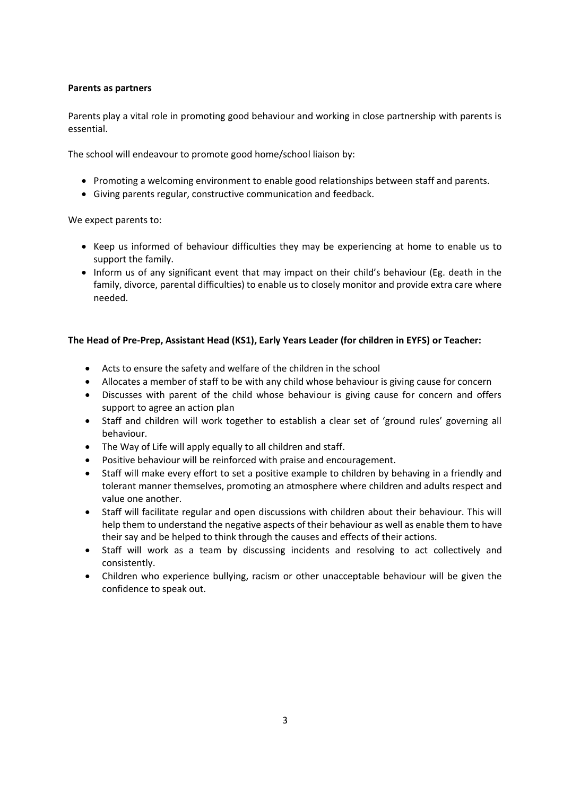#### **Parents as partners**

Parents play a vital role in promoting good behaviour and working in close partnership with parents is essential.

The school will endeavour to promote good home/school liaison by:

- Promoting a welcoming environment to enable good relationships between staff and parents.
- Giving parents regular, constructive communication and feedback.

We expect parents to:

- Keep us informed of behaviour difficulties they may be experiencing at home to enable us to support the family.
- Inform us of any significant event that may impact on their child's behaviour (Eg. death in the family, divorce, parental difficulties) to enable us to closely monitor and provide extra care where needed.

# **The Head of Pre-Prep, Assistant Head (KS1), Early Years Leader (for children in EYFS) or Teacher:**

- Acts to ensure the safety and welfare of the children in the school
- Allocates a member of staff to be with any child whose behaviour is giving cause for concern
- Discusses with parent of the child whose behaviour is giving cause for concern and offers support to agree an action plan
- Staff and children will work together to establish a clear set of 'ground rules' governing all behaviour.
- The Way of Life will apply equally to all children and staff.
- Positive behaviour will be reinforced with praise and encouragement.
- Staff will make every effort to set a positive example to children by behaving in a friendly and tolerant manner themselves, promoting an atmosphere where children and adults respect and value one another.
- Staff will facilitate regular and open discussions with children about their behaviour. This will help them to understand the negative aspects of their behaviour as well as enable them to have their say and be helped to think through the causes and effects of their actions.
- Staff will work as a team by discussing incidents and resolving to act collectively and consistently.
- Children who experience bullying, racism or other unacceptable behaviour will be given the confidence to speak out.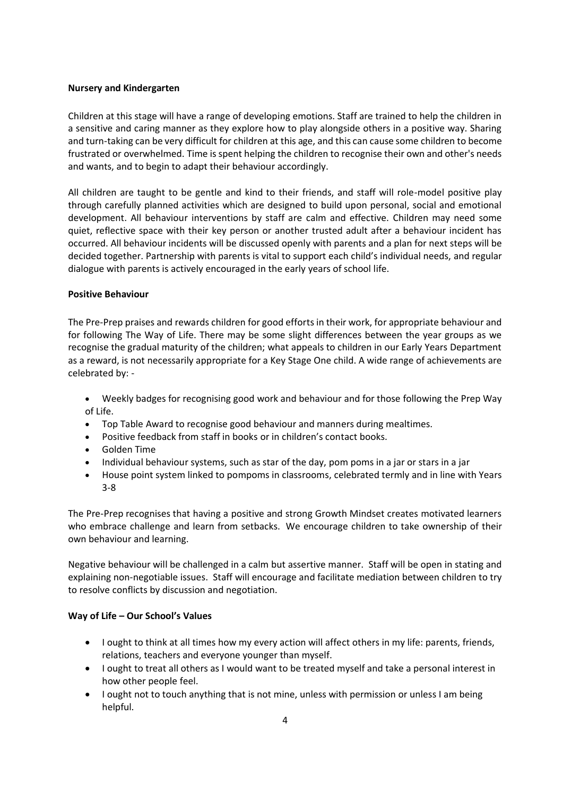#### **Nursery and Kindergarten**

Children at this stage will have a range of developing emotions. Staff are trained to help the children in a sensitive and caring manner as they explore how to play alongside others in a positive way. Sharing and turn-taking can be very difficult for children at this age, and this can cause some children to become frustrated or overwhelmed. Time is spent helping the children to recognise their own and other's needs and wants, and to begin to adapt their behaviour accordingly.

All children are taught to be gentle and kind to their friends, and staff will role-model positive play through carefully planned activities which are designed to build upon personal, social and emotional development. All behaviour interventions by staff are calm and effective. Children may need some quiet, reflective space with their key person or another trusted adult after a behaviour incident has occurred. All behaviour incidents will be discussed openly with parents and a plan for next steps will be decided together. Partnership with parents is vital to support each child's individual needs, and regular dialogue with parents is actively encouraged in the early years of school life.

# **Positive Behaviour**

The Pre-Prep praises and rewards children for good efforts in their work, for appropriate behaviour and for following The Way of Life. There may be some slight differences between the year groups as we recognise the gradual maturity of the children; what appeals to children in our Early Years Department as a reward, is not necessarily appropriate for a Key Stage One child. A wide range of achievements are celebrated by: -

- Weekly badges for recognising good work and behaviour and for those following the Prep Way of Life.
- Top Table Award to recognise good behaviour and manners during mealtimes.
- Positive feedback from staff in books or in children's contact books.
- Golden Time
- Individual behaviour systems, such as star of the day, pom poms in a jar or stars in a jar
- House point system linked to pompoms in classrooms, celebrated termly and in line with Years 3-8

The Pre-Prep recognises that having a positive and strong Growth Mindset creates motivated learners who embrace challenge and learn from setbacks. We encourage children to take ownership of their own behaviour and learning.

Negative behaviour will be challenged in a calm but assertive manner. Staff will be open in stating and explaining non-negotiable issues. Staff will encourage and facilitate mediation between children to try to resolve conflicts by discussion and negotiation.

# **Way of Life – Our School's Values**

- I ought to think at all times how my every action will affect others in my life: parents, friends, relations, teachers and everyone younger than myself.
- I ought to treat all others as I would want to be treated myself and take a personal interest in how other people feel.
- I ought not to touch anything that is not mine, unless with permission or unless I am being helpful.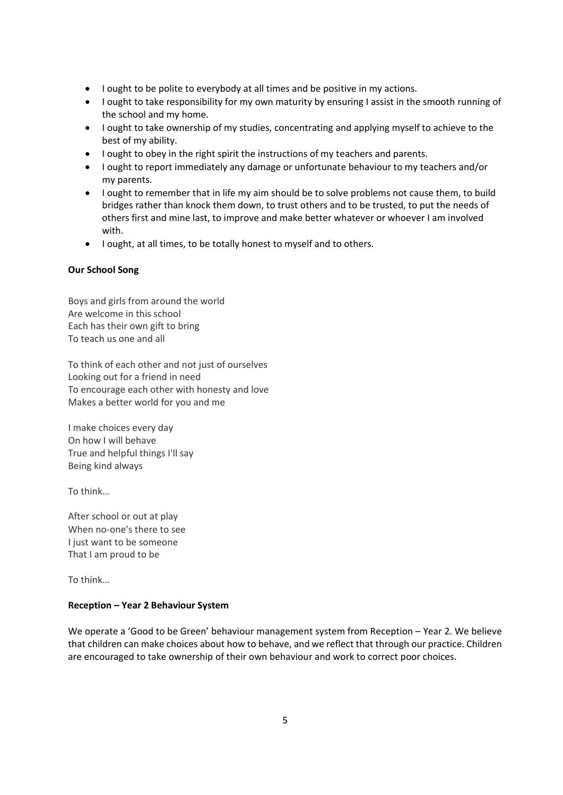- I ought to be polite to everybody at all times and be positive in my actions.
- I ought to take responsibility for my own maturity by ensuring I assist in the smooth running of the school and my home.
- I ought to take ownership of my studies, concentrating and applying myself to achieve to the best of my ability.
- I ought to obey in the right spirit the instructions of my teachers and parents.
- I ought to report immediately any damage or unfortunate behaviour to my teachers and/or my parents.
- I ought to remember that in life my aim should be to solve problems not cause them, to build bridges rather than knock them down, to trust others and to be trusted, to put the needs of others first and mine last, to improve and make better whatever or whoever I am involved with.
- I ought, at all times, to be totally honest to myself and to others.

# **Our School Song**

Boys and girls from around the world Are welcome in this school Each has their own gift to bring To teach us one and all

To think of each other and not just of ourselves Looking out for a friend in need To encourage each other with honesty and love Makes a better world for you and me

I make choices every day On how I will behave True and helpful things I'll say Being kind always

To think…

After school or out at play When no-one's there to see I just want to be someone That I am proud to be

To think…

# **Reception – Year 2 Behaviour System**

We operate a 'Good to be Green' behaviour management system from Reception – Year 2. We believe that children can make choices about how to behave, and we reflect that through our practice. Children are encouraged to take ownership of their own behaviour and work to correct poor choices.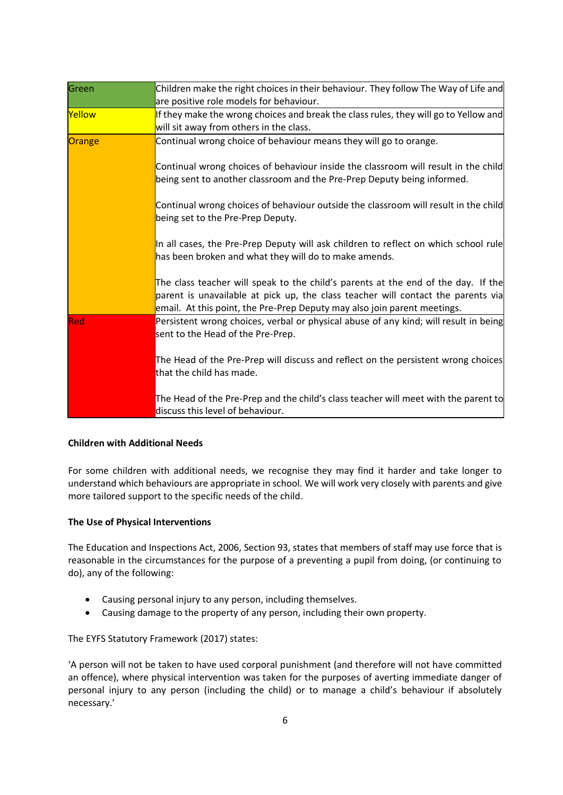| Green  | Children make the right choices in their behaviour. They follow The Way of Life and                                                                                                                                                               |  |
|--------|---------------------------------------------------------------------------------------------------------------------------------------------------------------------------------------------------------------------------------------------------|--|
|        | are positive role models for behaviour.                                                                                                                                                                                                           |  |
| Yellow | If they make the wrong choices and break the class rules, they will go to Yellow and                                                                                                                                                              |  |
|        | will sit away from others in the class.                                                                                                                                                                                                           |  |
| Orange | Continual wrong choice of behaviour means they will go to orange.                                                                                                                                                                                 |  |
|        | Continual wrong choices of behaviour inside the classroom will result in the child<br>being sent to another classroom and the Pre-Prep Deputy being informed.                                                                                     |  |
|        | Continual wrong choices of behaviour outside the classroom will result in the child<br>being set to the Pre-Prep Deputy.                                                                                                                          |  |
|        | In all cases, the Pre-Prep Deputy will ask children to reflect on which school rule<br>has been broken and what they will do to make amends.                                                                                                      |  |
|        | The class teacher will speak to the child's parents at the end of the day. If the<br>parent is unavailable at pick up, the class teacher will contact the parents via<br>email. At this point, the Pre-Prep Deputy may also join parent meetings. |  |
| lRed   | Persistent wrong choices, verbal or physical abuse of any kind; will result in being<br>sent to the Head of the Pre-Prep.                                                                                                                         |  |
|        | The Head of the Pre-Prep will discuss and reflect on the persistent wrong choices<br>that the child has made.                                                                                                                                     |  |
|        | The Head of the Pre-Prep and the child's class teacher will meet with the parent to<br>discuss this level of behaviour.                                                                                                                           |  |

# **Children with Additional Needs**

For some children with additional needs, we recognise they may find it harder and take longer to understand which behaviours are appropriate in school. We will work very closely with parents and give more tailored support to the specific needs of the child.

# **The Use of Physical Interventions**

The Education and Inspections Act, 2006, Section 93, states that members of staff may use force that is reasonable in the circumstances for the purpose of a preventing a pupil from doing, (or continuing to do), any of the following:

- Causing personal injury to any person, including themselves.
- Causing damage to the property of any person, including their own property.

The EYFS Statutory Framework (2017) states:

'A person will not be taken to have used corporal punishment (and therefore will not have committed an offence), where physical intervention was taken for the purposes of averting immediate danger of personal injury to any person (including the child) or to manage a child's behaviour if absolutely necessary.'